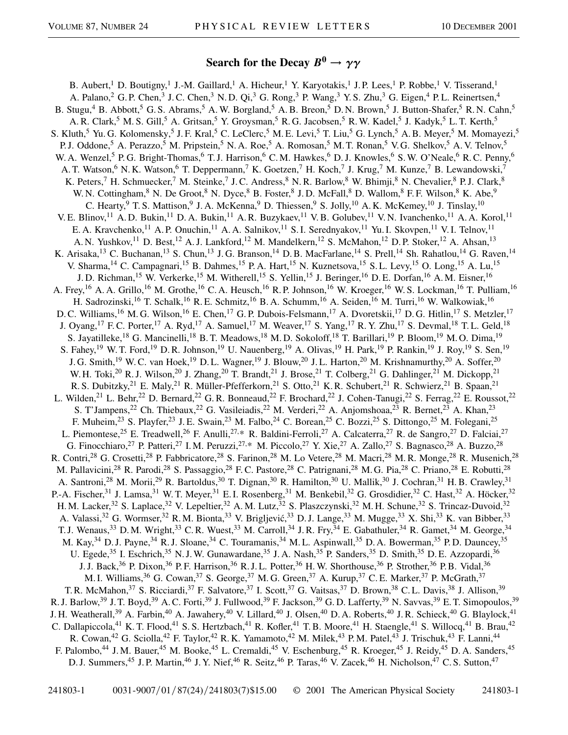## **Search for the Decay**  $B^0 \rightarrow \gamma \gamma$

B. Aubert,<sup>1</sup> D. Boutigny,<sup>1</sup> J.-M. Gaillard,<sup>1</sup> A. Hicheur,<sup>1</sup> Y. Karyotakis,<sup>1</sup> J.P. Lees,<sup>1</sup> P. Robbe,<sup>1</sup> V. Tisserand,<sup>1</sup> A. Palano,<sup>2</sup> G. P. Chen,<sup>3</sup> J. C. Chen,<sup>3</sup> N. D. Qi,<sup>3</sup> G. Rong,<sup>3</sup> P. Wang,<sup>3</sup> Y. S. Zhu,<sup>3</sup> G. Eigen,<sup>4</sup> P. L. Reinertsen,<sup>4</sup> B. Stugu,  $4$  B. Abbott,  $5$  G. S. Abrams,  $5$  A. W. Borgland,  $5$  A. B. Breon,  $5$  D. N. Brown,  $5$  J. Button-Shafer,  $5$  R. N. Cahn,  $5$ A. R. Clark,<sup>5</sup> M. S. Gill,<sup>5</sup> A. Gritsan,<sup>5</sup> Y. Groysman,<sup>5</sup> R. G. Jacobsen,<sup>5</sup> R. W. Kadel,<sup>5</sup> J. Kadyk,<sup>5</sup> L. T. Kerth,<sup>5</sup> S. Kluth,<sup>5</sup> Yu. G. Kolomensky,<sup>5</sup> J. F. Kral,<sup>5</sup> C. LeClerc,<sup>5</sup> M. E. Levi,<sup>5</sup> T. Liu,<sup>5</sup> G. Lynch,<sup>5</sup> A. B. Meyer,<sup>5</sup> M. Momayezi,<sup>5</sup> P. J. Oddone,<sup>5</sup> A. Perazzo,<sup>5</sup> M. Pripstein,<sup>5</sup> N. A. Roe,<sup>5</sup> A. Romosan,<sup>5</sup> M. T. Ronan,<sup>5</sup> V. G. Shelkov,<sup>5</sup> A. V. Telnov,<sup>5</sup> W. A. Wenzel,<sup>5</sup> P. G. Bright-Thomas,<sup>6</sup> T. J. Harrison,<sup>6</sup> C. M. Hawkes,<sup>6</sup> D. J. Knowles,<sup>6</sup> S. W. O'Neale,<sup>6</sup> R. C. Penny,<sup>6</sup> A. T. Watson,<sup>6</sup> N. K. Watson,<sup>6</sup> T. Deppermann,<sup>7</sup> K. Goetzen,<sup>7</sup> H. Koch,<sup>7</sup> J. Krug,<sup>7</sup> M. Kunze,<sup>7</sup> B. Lewandowski,<sup>7</sup> K. Peters,<sup>7</sup> H. Schmuecker,<sup>7</sup> M. Steinke,<sup>7</sup> J. C. Andress,<sup>8</sup> N. R. Barlow,<sup>8</sup> W. Bhimji,<sup>8</sup> N. Chevalier,<sup>8</sup> P. J. Clark,<sup>8</sup> W. N. Cottingham, <sup>8</sup> N. De Groot, <sup>8</sup> N. Dyce, <sup>8</sup> B. Foster, <sup>8</sup> J. D. McFall, <sup>8</sup> D. Wallom, <sup>8</sup> F. F. Wilson, <sup>8</sup> K. Abe, <sup>9</sup> C. Hearty,<sup>9</sup> T. S. Mattison,<sup>9</sup> J. A. McKenna,<sup>9</sup> D. Thiessen,<sup>9</sup> S. Jolly,<sup>10</sup> A. K. McKemey,<sup>10</sup> J. Tinslay,<sup>10</sup> V. E. Blinov,<sup>11</sup> A. D. Bukin,<sup>11</sup> D. A. Bukin,<sup>11</sup> A. R. Buzykaev,<sup>11</sup> V. B. Golubev,<sup>11</sup> V. N. Ivanchenko,<sup>11</sup> A. A. Korol,<sup>11</sup> E. A. Kravchenko,<sup>11</sup> A. P. Onuchin,<sup>11</sup> A. A. Salnikov,<sup>11</sup> S. I. Serednyakov,<sup>11</sup> Yu. I. Skovpen,<sup>11</sup> V. I. Telnov,<sup>11</sup> A. N. Yushkov,<sup>11</sup> D. Best,<sup>12</sup> A. J. Lankford,<sup>12</sup> M. Mandelkern,<sup>12</sup> S. McMahon,<sup>12</sup> D. P. Stoker,<sup>12</sup> A. Ahsan,<sup>13</sup> K. Arisaka,<sup>13</sup> C. Buchanan,<sup>13</sup> S. Chun,<sup>13</sup> J. G. Branson,<sup>14</sup> D. B. MacFarlane,<sup>14</sup> S. Prell,<sup>14</sup> Sh. Rahatlou,<sup>14</sup> G. Raven,<sup>14</sup> V. Sharma,<sup>14</sup> C. Campagnari,<sup>15</sup> B. Dahmes,<sup>15</sup> P. A. Hart,<sup>15</sup> N. Kuznetsova,<sup>15</sup> S. L. Levy,<sup>15</sup> O. Long,<sup>15</sup> A. Lu,<sup>15</sup> J. D. Richman,<sup>15</sup> W. Verkerke,<sup>15</sup> M. Witherell,<sup>15</sup> S. Yellin,<sup>15</sup> J. Beringer,<sup>16</sup> D. E. Dorfan,<sup>16</sup> A. M. Eisner,<sup>16</sup> A. Frey,<sup>16</sup> A. A. Grillo,<sup>16</sup> M. Grothe,<sup>16</sup> C. A. Heusch,<sup>16</sup> R. P. Johnson,<sup>16</sup> W. Kroeger,<sup>16</sup> W. S. Lockman,<sup>16</sup> T. Pulliam,<sup>16</sup> H. Sadrozinski,<sup>16</sup> T. Schalk,<sup>16</sup> R. E. Schmitz,<sup>16</sup> B. A. Schumm,<sup>16</sup> A. Seiden,<sup>16</sup> M. Turri,<sup>16</sup> W. Walkowiak,<sup>16</sup> D. C. Williams,<sup>16</sup> M. G. Wilson,<sup>16</sup> E. Chen,<sup>17</sup> G. P. Dubois-Felsmann,<sup>17</sup> A. Dvoretskii,<sup>17</sup> D. G. Hitlin,<sup>17</sup> S. Metzler,<sup>17</sup> J. Oyang,<sup>17</sup> F. C. Porter,<sup>17</sup> A. Ryd,<sup>17</sup> A. Samuel,<sup>17</sup> M. Weaver,<sup>17</sup> S. Yang,<sup>17</sup> R. Y. Zhu,<sup>17</sup> S. Devmal,<sup>18</sup> T. L. Geld,<sup>18</sup> S. Jayatilleke,<sup>18</sup> G. Mancinelli,<sup>18</sup> B. T. Meadows,<sup>18</sup> M. D. Sokoloff,<sup>18</sup> T. Barillari,<sup>19</sup> P. Bloom,<sup>19</sup> M. O. Dima,<sup>19</sup> S. Fahey,<sup>19</sup> W. T. Ford,<sup>19</sup> D. R. Johnson,<sup>19</sup> U. Nauenberg,<sup>19</sup> A. Olivas,<sup>19</sup> H. Park,<sup>19</sup> P. Rankin,<sup>19</sup> J. Roy,<sup>19</sup> S. Sen,<sup>19</sup> J. G. Smith,<sup>19</sup> W. C. van Hoek,<sup>19</sup> D. L. Wagner,<sup>19</sup> J. Blouw,<sup>20</sup> J. L. Harton,<sup>20</sup> M. Krishnamurthy,<sup>20</sup> A. Soffer,<sup>20</sup> W. H. Toki,<sup>20</sup> R. J. Wilson,<sup>20</sup> J. Zhang,<sup>20</sup> T. Brandt,<sup>21</sup> J. Brose,<sup>21</sup> T. Colberg,<sup>21</sup> G. Dahlinger,<sup>21</sup> M. Dickopp,<sup>21</sup> R. S. Dubitzky,<sup>21</sup> E. Maly,<sup>21</sup> R. Müller-Pfefferkorn,<sup>21</sup> S. Otto,<sup>21</sup> K. R. Schubert,<sup>21</sup> R. Schwierz,<sup>21</sup> B. Spaan,<sup>21</sup> L. Wilden,<sup>21</sup> L. Behr,<sup>22</sup> D. Bernard,<sup>22</sup> G. R. Bonneaud,<sup>22</sup> F. Brochard,<sup>22</sup> J. Cohen-Tanugi,<sup>22</sup> S. Ferrag,<sup>22</sup> E. Roussot,<sup>22</sup> S. T'Jampens,<sup>22</sup> Ch. Thiebaux,<sup>22</sup> G. Vasileiadis,<sup>22</sup> M. Verderi,<sup>22</sup> A. Anjomshoaa,<sup>23</sup> R. Bernet,<sup>23</sup> A. Khan,<sup>23</sup> F. Muheim,<sup>23</sup> S. Playfer,<sup>23</sup> J. E. Swain,<sup>23</sup> M. Falbo,<sup>24</sup> C. Borean,<sup>25</sup> C. Bozzi,<sup>25</sup> S. Dittongo,<sup>25</sup> M. Folegani,<sup>25</sup> L. Piemontese,<sup>25</sup> E. Treadwell,<sup>26</sup> F. Anulli,<sup>27,\*</sup> R. Baldini-Ferroli,<sup>27</sup> A. Calcaterra,<sup>27</sup> R. de Sangro,<sup>27</sup> D. Falciai,<sup>27</sup> G. Finocchiaro,<sup>27</sup> P. Patteri,<sup>27</sup> I. M. Peruzzi,<sup>27,\*</sup> M. Piccolo,<sup>27</sup> Y. Xie,<sup>27</sup> A. Zallo,<sup>27</sup> S. Bagnasco,<sup>28</sup> A. Buzzo,<sup>28</sup> R. Contri,<sup>28</sup> G. Crosetti,<sup>28</sup> P. Fabbricatore,<sup>28</sup> S. Farinon,<sup>28</sup> M. Lo Vetere,<sup>28</sup> M. Macri,<sup>28</sup> M. R. Monge,<sup>28</sup> R. Musenich,<sup>28</sup> M. Pallavicini,<sup>28</sup> R. Parodi,<sup>28</sup> S. Passaggio,<sup>28</sup> F.C. Pastore,<sup>28</sup> C. Patrignani,<sup>28</sup> M.G. Pia,<sup>28</sup> C. Priano,<sup>28</sup> E. Robutti,<sup>28</sup> A. Santroni,<sup>28</sup> M. Morii,<sup>29</sup> R. Bartoldus,<sup>30</sup> T. Dignan,<sup>30</sup> R. Hamilton,<sup>30</sup> U. Mallik,<sup>30</sup> J. Cochran,<sup>31</sup> H. B. Crawley,<sup>31</sup> P.-A. Fischer,<sup>31</sup> J. Lamsa,<sup>31</sup> W. T. Meyer,<sup>31</sup> E. I. Rosenberg,<sup>31</sup> M. Benkebil,<sup>32</sup> G. Grosdidier,<sup>32</sup> C. Hast,<sup>32</sup> A. Höcker,<sup>32</sup> H. M. Lacker,<sup>32</sup> S. Laplace,<sup>32</sup> V. Lepeltier,<sup>32</sup> A. M. Lutz,<sup>32</sup> S. Plaszczynski,<sup>32</sup> M. H. Schune,<sup>32</sup> S. Trincaz-Duvoid,<sup>32</sup> A. Valassi,<sup>32</sup> G. Wormser,<sup>32</sup> R. M. Bionta,<sup>33</sup> V. Brigljević,<sup>33</sup> D. J. Lange,<sup>33</sup> M. Mugge,<sup>33</sup> X. Shi,<sup>33</sup> K. van Bibber,<sup>33</sup> T. J. Wenaus,<sup>33</sup> D. M. Wright,<sup>33</sup> C. R. Wuest,<sup>33</sup> M. Carroll,<sup>34</sup> J. R. Fry,<sup>34</sup> E. Gabathuler,<sup>34</sup> R. Gamet,<sup>34</sup> M. George,<sup>34</sup> M. Kay,<sup>34</sup> D. J. Payne,<sup>34</sup> R. J. Sloane,<sup>34</sup> C. Touramanis,<sup>34</sup> M. L. Aspinwall,<sup>35</sup> D. A. Bowerman,<sup>35</sup> P. D. Dauncey,<sup>35</sup> U. Egede,<sup>35</sup> I. Eschrich,<sup>35</sup> N. J. W. Gunawardane,<sup>35</sup> J. A. Nash,<sup>35</sup> P. Sanders,<sup>35</sup> D. Smith,<sup>35</sup> D. E. Azzopardi,<sup>36</sup> J. J. Back,<sup>36</sup> P. Dixon,<sup>36</sup> P. F. Harrison,<sup>36</sup> R. J. L. Potter,<sup>36</sup> H. W. Shorthouse,<sup>36</sup> P. Strother,<sup>36</sup> P. B. Vidal,<sup>36</sup> M. I. Williams,<sup>36</sup> G. Cowan,<sup>37</sup> S. George,<sup>37</sup> M. G. Green,<sup>37</sup> A. Kurup,<sup>37</sup> C. E. Marker,<sup>37</sup> P. McGrath,<sup>37</sup> T. R. McMahon,<sup>37</sup> S. Ricciardi,<sup>37</sup> F. Salvatore,<sup>37</sup> I. Scott,<sup>37</sup> G. Vaitsas,<sup>37</sup> D. Brown,<sup>38</sup> C. L. Davis,<sup>38</sup> J. Allison,<sup>39</sup> R. J. Barlow,<sup>39</sup> J. T. Boyd,<sup>39</sup> A. C. Forti,<sup>39</sup> J. Fullwood,<sup>39</sup> F. Jackson,<sup>39</sup> G. D. Lafferty,<sup>39</sup> N. Savvas,<sup>39</sup> E. T. Simopoulos,<sup>39</sup> J. H. Weatherall,<sup>39</sup> A. Farbin,<sup>40</sup> A. Jawahery,<sup>40</sup> V. Lillard,<sup>40</sup> J. Olsen,<sup>40</sup> D. A. Roberts,<sup>40</sup> J. R. Schieck,<sup>40</sup> G. Blaylock,<sup>41</sup> C. Dallapiccola,<sup>41</sup> K. T. Flood,<sup>41</sup> S. S. Hertzbach,<sup>41</sup> R. Kofler,<sup>41</sup> T. B. Moore,<sup>41</sup> H. Staengle,<sup>41</sup> S. Willocq,<sup>41</sup> B. Brau,<sup>42</sup> R. Cowan,<sup>42</sup> G. Sciolla,<sup>42</sup> F. Taylor,<sup>42</sup> R. K. Yamamoto,<sup>42</sup> M. Milek,<sup>43</sup> P. M. Patel,<sup>43</sup> J. Trischuk,<sup>43</sup> F. Lanni,<sup>44</sup> F. Palombo,<sup>44</sup> J. M. Bauer,<sup>45</sup> M. Booke,<sup>45</sup> L. Cremaldi,<sup>45</sup> V. Eschenburg,<sup>45</sup> R. Kroeger,<sup>45</sup> J. Reidy,<sup>45</sup> D. A. Sanders,<sup>45</sup> D. J. Summers,<sup>45</sup> J. P. Martin,<sup>46</sup> J. Y. Nief,<sup>46</sup> R. Seitz,<sup>46</sup> P. Taras,<sup>46</sup> V. Zacek,<sup>46</sup> H. Nicholson,<sup>47</sup> C. S. Sutton,<sup>47</sup>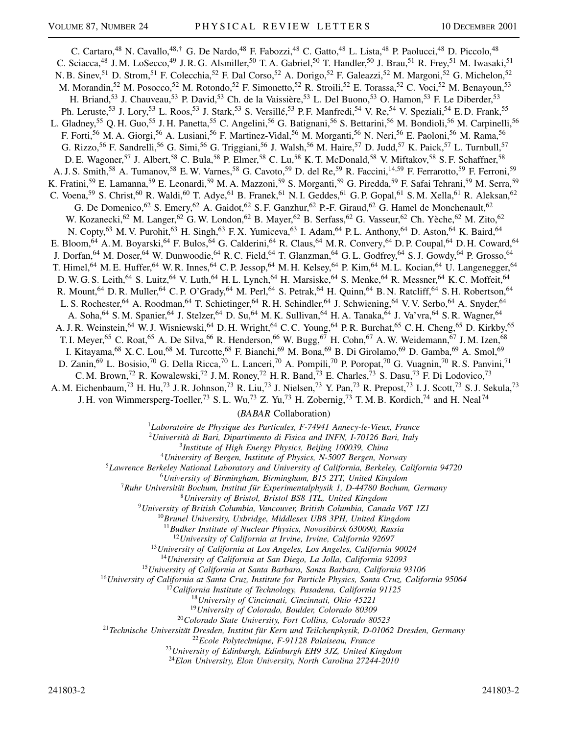C. Cartaro,<sup>48</sup> N. Cavallo,<sup>48,†</sup> G. De Nardo,<sup>48</sup> F. Fabozzi,<sup>48</sup> C. Gatto,<sup>48</sup> L. Lista,<sup>48</sup> P. Paolucci,<sup>48</sup> D. Piccolo,<sup>48</sup> C. Sciacca,<sup>48</sup> J.M. LoSecco,<sup>49</sup> J.R.G. Alsmiller,<sup>50</sup> T.A. Gabriel,<sup>50</sup> T. Handler,<sup>50</sup> J. Brau,<sup>51</sup> R. Frey,<sup>51</sup> M. Iwasaki,<sup>51</sup> N. B. Sinev,<sup>51</sup> D. Strom,<sup>51</sup> F. Colecchia,<sup>52</sup> F. Dal Corso,<sup>52</sup> A. Dorigo,<sup>52</sup> F. Galeazzi,<sup>52</sup> M. Margoni,<sup>52</sup> G. Michelon,<sup>52</sup> M. Morandin,<sup>52</sup> M. Posocco,<sup>52</sup> M. Rotondo,<sup>52</sup> F. Simonetto,<sup>52</sup> R. Stroili,<sup>52</sup> E. Torassa,<sup>52</sup> C. Voci,<sup>52</sup> M. Benayoun,<sup>53</sup> H. Briand,<sup>53</sup> J. Chauveau,<sup>53</sup> P. David,<sup>53</sup> Ch. de la Vaissière,<sup>53</sup> L. Del Buono,<sup>53</sup> O. Hamon,<sup>53</sup> F. Le Diberder,<sup>53</sup> Ph. Leruste,<sup>53</sup> J. Lory,<sup>53</sup> L. Roos,<sup>53</sup> J. Stark,<sup>53</sup> S. Versillé,<sup>53</sup> P.F. Manfredi,<sup>54</sup> V. Re,<sup>54</sup> V. Speziali,<sup>54</sup> E.D. Frank,<sup>55</sup> L. Gladney,<sup>55</sup> Q. H. Guo,<sup>55</sup> J. H. Panetta,<sup>55</sup> C. Angelini,<sup>56</sup> G. Batignani,<sup>56</sup> S. Bettarini,<sup>56</sup> M. Bondioli,<sup>56</sup> M. Carpinelli,<sup>56</sup> F. Forti,<sup>56</sup> M. A. Giorgi,<sup>56</sup> A. Lusiani,<sup>56</sup> F. Martinez-Vidal,<sup>56</sup> M. Morganti,<sup>56</sup> N. Neri,<sup>56</sup> E. Paoloni,<sup>56</sup> M. Rama,<sup>56</sup> G. Rizzo,<sup>56</sup> F. Sandrelli,<sup>56</sup> G. Simi,<sup>56</sup> G. Triggiani,<sup>56</sup> J. Walsh,<sup>56</sup> M. Haire,<sup>57</sup> D. Judd,<sup>57</sup> K. Paick,<sup>57</sup> L. Turnbull,<sup>57</sup> D. E. Wagoner,<sup>57</sup> J. Albert,<sup>58</sup> C. Bula,<sup>58</sup> P. Elmer,<sup>58</sup> C. Lu,<sup>58</sup> K. T. McDonald,<sup>58</sup> V. Miftakov,<sup>58</sup> S. F. Schaffner,<sup>58</sup> A. J. S. Smith,<sup>58</sup> A. Tumanov,<sup>58</sup> E. W. Varnes,<sup>58</sup> G. Cavoto,<sup>59</sup> D. del Re,<sup>59</sup> R. Faccini,<sup>14,59</sup> F. Ferrarotto,<sup>59</sup> F. Ferroni,<sup>59</sup> K. Fratini,<sup>59</sup> E. Lamanna,<sup>59</sup> E. Leonardi,<sup>59</sup> M. A. Mazzoni,<sup>59</sup> S. Morganti,<sup>59</sup> G. Piredda,<sup>59</sup> F. Safai Tehrani,<sup>59</sup> M. Serra,<sup>59</sup> C. Voena,<sup>59</sup> S. Christ,<sup>60</sup> R. Waldi,<sup>60</sup> T. Adye,<sup>61</sup> B. Franek,<sup>61</sup> N. I. Geddes,<sup>61</sup> G. P. Gopal,<sup>61</sup> S. M. Xella,<sup>61</sup> R. Aleksan,<sup>62</sup> G. De Domenico,<sup>62</sup> S. Emery,<sup>62</sup> A. Gaidot,<sup>62</sup> S. F. Ganzhur,<sup>62</sup> P.-F. Giraud,<sup>62</sup> G. Hamel de Monchenault,<sup>62</sup> W. Kozanecki,<sup>62</sup> M. Langer,<sup>62</sup> G. W. London,<sup>62</sup> B. Mayer,<sup>62</sup> B. Serfass,<sup>62</sup> G. Vasseur,<sup>62</sup> Ch. Yèche,<sup>62</sup> M. Zito,<sup>62</sup> N. Copty,<sup>63</sup> M. V. Purohit,<sup>63</sup> H. Singh,<sup>63</sup> F. X. Yumiceva,<sup>63</sup> I. Adam,<sup>64</sup> P. L. Anthony,<sup>64</sup> D. Aston,<sup>64</sup> K. Baird,<sup>64</sup> E. Bloom, <sup>64</sup> A.M. Boyarski, <sup>64</sup> F. Bulos, <sup>64</sup> G. Calderini, <sup>64</sup> R. Claus, <sup>64</sup> M.R. Convery, <sup>64</sup> D.P. Coupal, <sup>64</sup> D.H. Coward, <sup>64</sup> J. Dorfan,<sup>64</sup> M. Doser,<sup>64</sup> W. Dunwoodie,<sup>64</sup> R. C. Field,<sup>64</sup> T. Glanzman,<sup>64</sup> G. L. Godfrey,<sup>64</sup> S. J. Gowdy,<sup>64</sup> P. Grosso,<sup>64</sup> T. Himel,<sup>64</sup> M. E. Huffer,<sup>64</sup> W. R. Innes,<sup>64</sup> C. P. Jessop,<sup>64</sup> M. H. Kelsey,<sup>64</sup> P. Kim,<sup>64</sup> M. L. Kocian,<sup>64</sup> U. Langenegger,<sup>64</sup> D. W. G. S. Leith,<sup>64</sup> S. Luitz,<sup>64</sup> V. Luth,<sup>64</sup> H. L. Lynch,<sup>64</sup> H. Marsiske,<sup>64</sup> S. Menke,<sup>64</sup> R. Messner,<sup>64</sup> K. C. Moffeit,<sup>64</sup> R. Mount, <sup>64</sup> D. R. Muller, <sup>64</sup> C. P. O'Grady, <sup>64</sup> M. Perl, <sup>64</sup> S. Petrak, <sup>64</sup> H. Quinn, <sup>64</sup> B. N. Ratcliff, <sup>64</sup> S. H. Robertson, <sup>64</sup> L. S. Rochester,<sup>64</sup> A. Roodman,<sup>64</sup> T. Schietinger,<sup>64</sup> R. H. Schindler,<sup>64</sup> J. Schwiening,<sup>64</sup> V. V. Serbo,<sup>64</sup> A. Snyder,<sup>64</sup> A. Soha,<sup>64</sup> S. M. Spanier,<sup>64</sup> J. Stelzer,<sup>64</sup> D. Su,<sup>64</sup> M. K. Sullivan,<sup>64</sup> H. A. Tanaka,<sup>64</sup> J. Va'vra,<sup>64</sup> S. R. Wagner,<sup>64</sup> A. J. R. Weinstein,<sup>64</sup> W. J. Wisniewski,<sup>64</sup> D. H. Wright,<sup>64</sup> C. C. Young,<sup>64</sup> P. R. Burchat,<sup>65</sup> C. H. Cheng,<sup>65</sup> D. Kirkby,<sup>65</sup> T. I. Meyer,<sup>65</sup> C. Roat,<sup>65</sup> A. De Silva,<sup>66</sup> R. Henderson,<sup>66</sup> W. Bugg,<sup>67</sup> H. Cohn,<sup>67</sup> A. W. Weidemann,<sup>67</sup> J. M. Izen,<sup>68</sup> I. Kitayama,<sup>68</sup> X. C. Lou,<sup>68</sup> M. Turcotte,<sup>68</sup> F. Bianchi,<sup>69</sup> M. Bona,<sup>69</sup> B. Di Girolamo,<sup>69</sup> D. Gamba,<sup>69</sup> A. Smol,<sup>69</sup> D. Zanin,<sup>69</sup> L. Bosisio,<sup>70</sup> G. Della Ricca,<sup>70</sup> L. Lanceri,<sup>70</sup> A. Pompili,<sup>70</sup> P. Poropat,<sup>70</sup> G. Vuagnin,<sup>70</sup> R. S. Panvini,<sup>71</sup> C. M. Brown,<sup>72</sup> R. Kowalewski,<sup>72</sup> J. M. Roney,<sup>72</sup> H. R. Band,<sup>73</sup> E. Charles,<sup>73</sup> S. Dasu,<sup>73</sup> F. Di Lodovico,<sup>73</sup> A. M. Eichenbaum,<sup>73</sup> H. Hu,<sup>73</sup> J. R. Johnson,<sup>73</sup> R. Liu,<sup>73</sup> J. Nielsen,<sup>73</sup> Y. Pan,<sup>73</sup> R. Prepost,<sup>73</sup> I. J. Scott,<sup>73</sup> S. J. Sekula,<sup>73</sup>

J. H. von Wimmersperg-Toeller,<sup>73</sup> S. L. Wu,<sup>73</sup> Z. Yu,<sup>73</sup> H. Zobernig,<sup>73</sup> T. M. B. Kordich,<sup>74</sup> and H. Neal<sup>74</sup>

(*BABAR* Collaboration)

<sup>1</sup>*Laboratoire de Physique des Particules, F-74941 Annecy-le-Vieux, France*

<sup>2</sup>*Università di Bari, Dipartimento di Fisica and INFN, I-70126 Bari, Italy*

<sup>3</sup>*Institute of High Energy Physics, Beijing 100039, China*

<sup>4</sup>*University of Bergen, Institute of Physics, N-5007 Bergen, Norway*

<sup>5</sup>*Lawrence Berkeley National Laboratory and University of California, Berkeley, California 94720*

<sup>6</sup>*University of Birmingham, Birmingham, B15 2TT, United Kingdom*

<sup>7</sup>*Ruhr Universität Bochum, Institut für Experimentalphysik 1, D-44780 Bochum, Germany*

<sup>8</sup>*University of Bristol, Bristol BS8 1TL, United Kingdom*

<sup>9</sup>*University of British Columbia, Vancouver, British Columbia, Canada V6T 1Z1*

<sup>10</sup>*Brunel University, Uxbridge, Middlesex UB8 3PH, United Kingdom*

<sup>11</sup>*Budker Institute of Nuclear Physics, Novosibirsk 630090, Russia*

<sup>12</sup>*University of California at Irvine, Irvine, California 92697*

<sup>13</sup>*University of California at Los Angeles, Los Angeles, California 90024*

<sup>14</sup>*University of California at San Diego, La Jolla, California 92093*

<sup>15</sup>*University of California at Santa Barbara, Santa Barbara, California 93106*

<sup>16</sup>*University of California at Santa Cruz, Institute for Particle Physics, Santa Cruz, California 95064*

<sup>17</sup>*California Institute of Technology, Pasadena, California 91125*

<sup>18</sup>*University of Cincinnati, Cincinnati, Ohio 45221*

<sup>19</sup>*University of Colorado, Boulder, Colorado 80309*

<sup>20</sup>*Colorado State University, Fort Collins, Colorado 80523*

<sup>21</sup>*Technische Universität Dresden, Institut für Kern und Teilchenphysik, D-01062 Dresden, Germany*

<sup>22</sup>*Ecole Polytechnique, F-91128 Palaiseau, France*

<sup>23</sup>*University of Edinburgh, Edinburgh EH9 3JZ, United Kingdom*

<sup>24</sup>*Elon University, Elon University, North Carolina 27244-2010*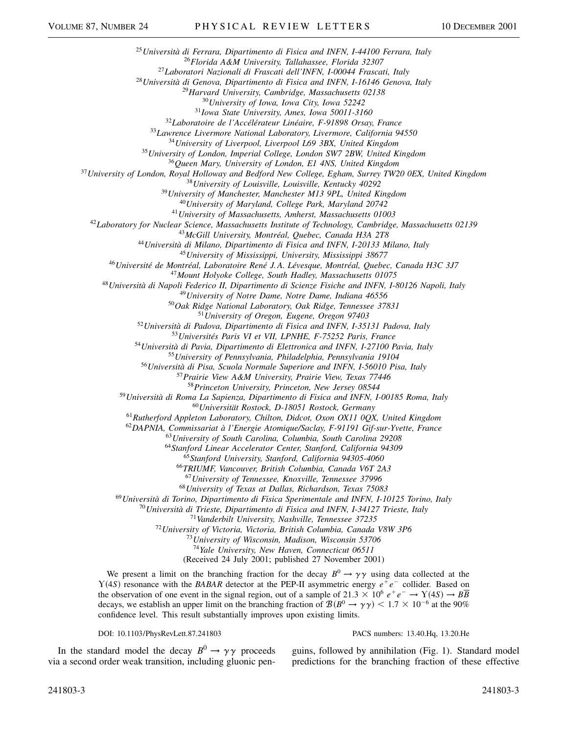*Università di Ferrara, Dipartimento di Fisica and INFN, I-44100 Ferrara, Italy Florida A&M University, Tallahassee, Florida 32307 Laboratori Nazionali di Frascati dell'INFN, I-00044 Frascati, Italy Università di Genova, Dipartimento di Fisica and INFN, I-16146 Genova, Italy Harvard University, Cambridge, Massachusetts 02138 University of Iowa, Iowa City, Iowa 52242 Iowa State University, Ames, Iowa 50011-3160 Laboratoire de l'Accélérateur Linéaire, F-91898 Orsay, France Lawrence Livermore National Laboratory, Livermore, California 94550 University of Liverpool, Liverpool L69 3BX, United Kingdom University of London, Imperial College, London SW7 2BW, United Kingdom Queen Mary, University of London, E1 4NS, United Kingdom University of London, Royal Holloway and Bedford New College, Egham, Surrey TW20 0EX, United Kingdom University of Louisville, Louisville, Kentucky 40292 University of Manchester, Manchester M13 9PL, United Kingdom University of Maryland, College Park, Maryland 20742 University of Massachusetts, Amherst, Massachusetts 01003 Laboratory for Nuclear Science, Massachusetts Institute of Technology, Cambridge, Massachusetts 02139 McGill University, Montréal, Quebec, Canada H3A 2T8 Università di Milano, Dipartimento di Fisica and INFN, I-20133 Milano, Italy University of Mississippi, University, Mississippi 38677 Université de Montréal, Laboratoire René J. A. Lévesque, Montréal, Quebec, Canada H3C 3J7 Mount Holyoke College, South Hadley, Massachusetts 01075 Università di Napoli Federico II, Dipartimento di Scienze Fisiche and INFN, I-80126 Napoli, Italy University of Notre Dame, Notre Dame, Indiana 46556 Oak Ridge National Laboratory, Oak Ridge, Tennessee 37831 University of Oregon, Eugene, Oregon 97403 Università di Padova, Dipartimento di Fisica and INFN, I-35131 Padova, Italy Universités Paris VI et VII, LPNHE, F-75252 Paris, France Università di Pavia, Dipartimento di Elettronica and INFN, I-27100 Pavia, Italy University of Pennsylvania, Philadelphia, Pennsylvania 19104 Università di Pisa, Scuola Normale Superiore and INFN, I-56010 Pisa, Italy Prairie View A&M University, Prairie View, Texas 77446 Princeton University, Princeton, New Jersey 08544 Università di Roma La Sapienza, Dipartimento di Fisica and INFN, I-00185 Roma, Italy Universität Rostock, D-18051 Rostock, Germany Rutherford Appleton Laboratory, Chilton, Didcot, Oxon OX11 0QX, United Kingdom DAPNIA, Commissariat à l'Energie Atomique/Saclay, F-91191 Gif-sur-Yvette, France University of South Carolina, Columbia, South Carolina 29208 Stanford Linear Accelerator Center, Stanford, California 94309 Stanford University, Stanford, California 94305-4060 TRIUMF, Vancouver, British Columbia, Canada V6T 2A3 University of Tennessee, Knoxville, Tennessee 37996 University of Texas at Dallas, Richardson, Texas 75083 Università di Torino, Dipartimento di Fisica Sperimentale and INFN, I-10125 Torino, Italy Università di Trieste, Dipartimento di Fisica and INFN, I-34127 Trieste, Italy Vanderbilt University, Nashville, Tennessee 37235 University of Victoria, Victoria, British Columbia, Canada V8W 3P6 University of Wisconsin, Madison, Wisconsin 53706 Yale University, New Haven, Connecticut 06511* (Received 24 July 2001; published 27 November 2001) We present a limit on the branching fraction for the decay  $B^0 \to \gamma \gamma$  using data collected at the  $Y(4S)$  resonance with the *BABAR* detector at the PEP-II asymmetric energy  $e^+e^-$  collider. Based on the observation of one event in the signal region, out of a sample of 21.3  $\times$  10<sup>6</sup>  $e^+e^- \rightarrow$   $\Upsilon(4S) \rightarrow$   $B\overline{B}$ decays, we establish an upper limit on the branching fraction of  $\mathcal{B}(B^0 \to \gamma \gamma) < 1.7 \times 10^{-6}$  at the 90%

confidence level. This result substantially improves upon existing limits.

DOI: 10.1103/PhysRevLett.87.241803 PACS numbers: 13.40.Hq, 13.20.He

In the standard model the decay  $B^0 \rightarrow \gamma \gamma$  proceeds via a second order weak transition, including gluonic pen-

guins, followed by annihilation (Fig. 1). Standard model predictions for the branching fraction of these effective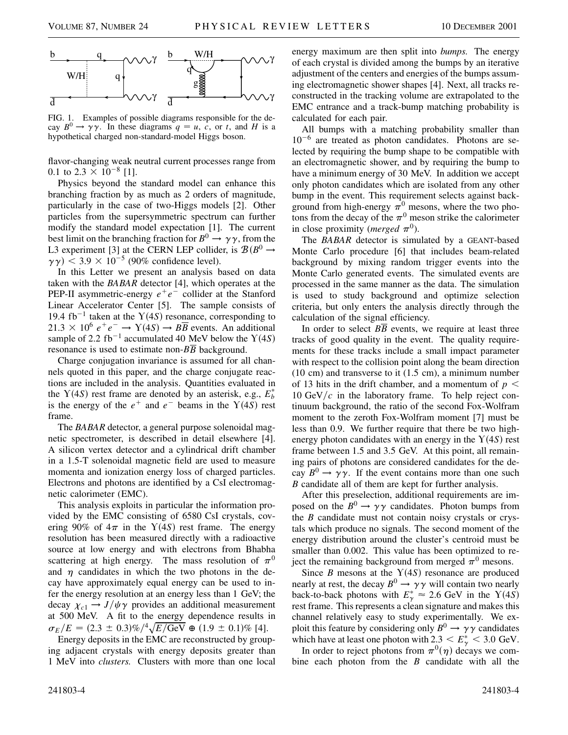

FIG. 1. Examples of possible diagrams responsible for the decay  $B^0 \rightarrow \gamma \gamma$ . In these diagrams  $q = u$ , c, or t, and H is a hypothetical charged non-standard-model Higgs boson.

flavor-changing weak neutral current processes range from 0.1 to 2.3  $\times$  10<sup>-8</sup> [1].

Physics beyond the standard model can enhance this branching fraction by as much as 2 orders of magnitude, particularly in the case of two-Higgs models [2]. Other particles from the supersymmetric spectrum can further modify the standard model expectation [1]. The current best limit on the branching fraction for  $B^0 \to \gamma \gamma$ , from the L3 experiment [3] at the CERN LEP collider, is  $\mathcal{B}(B^0 \rightarrow$  $(\gamma \gamma)$  < 3.9 × 10<sup>-5</sup> (90% confidence level).

In this Letter we present an analysis based on data taken with the *BABAR* detector [4], which operates at the PEP-II asymmetric-energy  $e^+e^-$  collider at the Stanford Linear Accelerator Center [5]. The sample consists of 19.4 fb<sup>-1</sup> taken at the  $Y(4S)$  resonance, corresponding to  $21.3 \times 10^6$   $e^+e^- \rightarrow Y(4S) \rightarrow B\overline{B}$  events. An additional sample of 2.2 fb<sup>-1</sup> accumulated 40 MeV below the  $Y(4S)$ resonance is used to estimate non-*BB* background.

Charge conjugation invariance is assumed for all channels quoted in this paper, and the charge conjugate reactions are included in the analysis. Quantities evaluated in the  $Y(4S)$  rest frame are denoted by an asterisk, e.g.,  $E_b^*$ is the energy of the  $e^+$  and  $e^-$  beams in the  $Y(4S)$  rest frame.

The *BABAR* detector, a general purpose solenoidal magnetic spectrometer, is described in detail elsewhere [4]. A silicon vertex detector and a cylindrical drift chamber in a 1.5-T solenoidal magnetic field are used to measure momenta and ionization energy loss of charged particles. Electrons and photons are identified by a CsI electromagnetic calorimeter (EMC).

This analysis exploits in particular the information provided by the EMC consisting of 6580 CsI crystals, covering 90% of  $4\pi$  in the Y(4S) rest frame. The energy resolution has been measured directly with a radioactive source at low energy and with electrons from Bhabha scattering at high energy. The mass resolution of  $\pi^0$ and  $\eta$  candidates in which the two photons in the decay have approximately equal energy can be used to infer the energy resolution at an energy less than 1 GeV; the decay  $\chi_{c1} \rightarrow J/\psi \gamma$  provides an additional measurement at 500 MeV. A fit to the energy dependence results in<br> $=$   $(F - (2.3 + 0.2)\alpha/4 \sqrt{F/GN} \approx (1.0 + 0.1)\alpha/14$  $\sigma_E/E = (2.3 \pm 0.3)\%/^4 \sqrt{E/\text{GeV}} \oplus (1.9 \pm 0.1)\%$  [4].

Energy deposits in the EMC are reconstructed by grouping adjacent crystals with energy deposits greater than 1 MeV into *clusters.* Clusters with more than one local

energy maximum are then split into *bumps.* The energy of each crystal is divided among the bumps by an iterative adjustment of the centers and energies of the bumps assuming electromagnetic shower shapes [4]. Next, all tracks reconstructed in the tracking volume are extrapolated to the EMC entrance and a track-bump matching probability is calculated for each pair.

All bumps with a matching probability smaller than  $10^{-6}$  are treated as photon candidates. Photons are selected by requiring the bump shape to be compatible with an electromagnetic shower, and by requiring the bump to have a minimum energy of 30 MeV. In addition we accept only photon candidates which are isolated from any other bump in the event. This requirement selects against background from high-energy  $\pi^0$  mesons, where the two photons from the decay of the  $\pi^0$  meson strike the calorimeter in close proximity (*merged*  $\pi^0$ ).

The *BABAR* detector is simulated by a GEANT-based Monte Carlo procedure [6] that includes beam-related background by mixing random trigger events into the Monte Carlo generated events. The simulated events are processed in the same manner as the data. The simulation is used to study background and optimize selection criteria, but only enters the analysis directly through the calculation of the signal efficiency.

In order to select  $B\overline{B}$  events, we require at least three tracks of good quality in the event. The quality requirements for these tracks include a small impact parameter with respect to the collision point along the beam direction (10 cm) and transverse to it (1.5 cm), a minimum number of 13 hits in the drift chamber, and a momentum of  $p <$ 10  $GeV/c$  in the laboratory frame. To help reject continuum background, the ratio of the second Fox-Wolfram moment to the zeroth Fox-Wolfram moment [7] must be less than 0.9. We further require that there be two highenergy photon candidates with an energy in the  $Y(4S)$  rest frame between 1.5 and 3.5 GeV. At this point, all remaining pairs of photons are considered candidates for the decay  $B^0 \to \gamma \gamma$ . If the event contains more than one such *B* candidate all of them are kept for further analysis.

After this preselection, additional requirements are imposed on the  $B^0 \to \gamma \gamma$  candidates. Photon bumps from the *B* candidate must not contain noisy crystals or crystals which produce no signals. The second moment of the energy distribution around the cluster's centroid must be smaller than 0.002. This value has been optimized to reject the remaining background from merged  $\pi^0$  mesons.

Since  $B$  mesons at the  $Y(4S)$  resonance are produced nearly at rest, the decay  $B^0 \to \gamma \gamma$  will contain two nearly back-to-back photons with  $E^*_{\gamma} \approx 2.6$  GeV in the Y(4*S*) rest frame. This represents a clean signature and makes this channel relatively easy to study experimentally. We exploit this feature by considering only  $B^0 \to \gamma \gamma$  candidates which have at least one photon with  $2.3 < E^*_{\gamma} < 3.0$  GeV.

In order to reject photons from  $\pi^0(\eta)$  decays we combine each photon from the *B* candidate with all the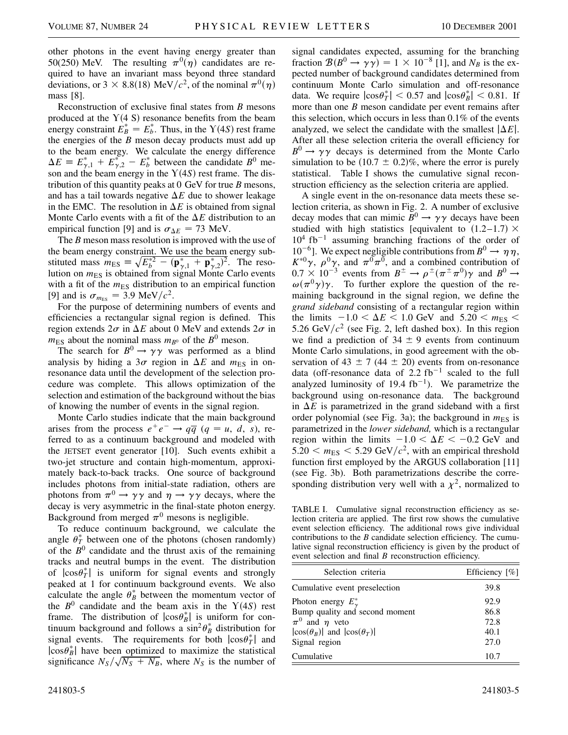other photons in the event having energy greater than 50(250) MeV. The resulting  $\pi^{0}(\eta)$  candidates are required to have an invariant mass beyond three standard deviations, or  $3 \times 8.8(18)$  MeV/ $c^2$ , of the nominal  $\pi^0(\eta)$ mass [8].

Reconstruction of exclusive final states from *B* mesons produced at the  $Y(4 S)$  resonance benefits from the beam energy constraint  $\vec{E}_B^* = E_b^*$ . Thus, in the Y(4*S*) rest frame the energies of the *B* meson decay products must add up to the beam energy. We calculate the energy difference  $\Delta E = E_{\gamma,1}^* + E_{\gamma,2}^* - E_b^*$  between the candidate *B*<sup>0</sup> meson and the beam energy in the  $Y(4S)$  rest frame. The distribution of this quantity peaks at 0 GeV for true *B* mesons, and has a tail towards negative  $\Delta E$  due to shower leakage in the EMC. The resolution in  $\Delta E$  is obtained from signal Monte Carlo events with a fit of the  $\Delta E$  distribution to an empirical function [9] and is  $\sigma_{\Delta E} = 73$  MeV.

The *B* meson mass resolution is improved with the use of the beam energy constraint. We use the beam energy substituted mass  $m_{ES} \equiv \sqrt{E_b^{\ast 2} - (\mathbf{p}_{\gamma,1}^{\ast} + \mathbf{p}_{\gamma,2}^{\ast})^2}$ . The resolution on  $m_{ES}$  is obtained from signal Monte Carlo events with a fit of the  $m_{ES}$  distribution to an empirical function [9] and is  $\sigma_{m_{ES}} = 3.9 \text{ MeV}/c^2$ .

For the purpose of determining numbers of events and efficiencies a rectangular signal region is defined. This region extends  $2\sigma$  in  $\Delta E$  about 0 MeV and extends  $2\sigma$  in  $m<sub>ES</sub>$  about the nominal mass  $m<sub>B</sub>$ <sup>0</sup> of the *B*<sup>0</sup> meson.

The search for  $B^0 \to \gamma \gamma$  was performed as a blind analysis by hiding a  $3\sigma$  region in  $\Delta E$  and  $m_{ES}$  in onresonance data until the development of the selection procedure was complete. This allows optimization of the selection and estimation of the background without the bias of knowing the number of events in the signal region.

Monte Carlo studies indicate that the main background arises from the process  $e^+e^- \rightarrow q\overline{q}$  ( $q = u, d, s$ ), referred to as a continuum background and modeled with the JETSET event generator [10]. Such events exhibit a two-jet structure and contain high-momentum, approximately back-to-back tracks. One source of background includes photons from initial-state radiation, others are photons from  $\pi^0 \to \gamma \gamma$  and  $\eta \to \gamma \gamma$  decays, where the decay is very asymmetric in the final-state photon energy. Background from merged  $\pi^0$  mesons is negligible.

To reduce continuum background, we calculate the angle  $\theta_T^*$  between one of the photons (chosen randomly) of the  $B<sup>0</sup>$  candidate and the thrust axis of the remaining tracks and neutral bumps in the event. The distribution of  $|\cos \theta_T^*|$  is uniform for signal events and strongly peaked at 1 for continuum background events. We also calculate the angle  $\theta_B^*$  between the momentum vector of the  $B^0$  candidate and the beam axis in the  $Y(4S)$  rest frame. The distribution of  $|\cos \theta_B^*|$  is uniform for continuum background and follows a  $\sin^2 \theta_B^*$  distribution for signal events. The requirements for both  $|\cos \theta_T^*|$  and  $|\cos \theta_B^*|$  have been optimized to maximize the statistical significance  $N_S/\sqrt{N_S + N_B}$ , where  $N_S$  is the number of

signal candidates expected, assuming for the branching fraction  $\mathcal{B}(B^0 \to \gamma \gamma) = 1 \times 10^{-8}$  [1], and  $N_B$  is the expected number of background candidates determined from continuum Monte Carlo simulation and off-resonance data. We require  $|\cos \theta_T^*| < 0.57$  and  $|\cos \theta_B^*| < 0.81$ . If more than one *B* meson candidate per event remains after this selection, which occurs in less than 0.1% of the events analyzed, we select the candidate with the smallest  $|\Delta E|$ . After all these selection criteria the overall efficiency for  $B^0 \rightarrow \gamma \gamma$  decays is determined from the Monte Carlo simulation to be  $(10.7 \pm 0.2)\%$ , where the error is purely statistical. Table I shows the cumulative signal reconstruction efficiency as the selection criteria are applied.

A single event in the on-resonance data meets these selection criteria, as shown in Fig. 2. A number of exclusive decay modes that can mimic  $B^0 \to \gamma \gamma$  decays have been studied with high statistics [equivalent to  $(1.2-1.7) \times$  $10^4$  fb<sup>-1</sup> assuming branching fractions of the order of  $10^{-6}$ ]. We expect negligible contributions from  $B^0 \rightarrow \eta \eta$ ,  $K^{*0}\gamma$ ,  $\rho^{0}\gamma$ , and  $\pi^{0}\pi^{0}$ , and a combined contribution of  $0.7 \times 10^{-3}$  events from  $B^{\pm} \rightarrow \rho^{\pm}(\pi^{\pm}\pi^0)\gamma$  and  $B^0 \rightarrow$  $\omega(\pi^0 \gamma) \gamma$ . To further explore the question of the remaining background in the signal region, we define the *grand sideband* consisting of a rectangular region within the limits  $-1.0 < \Delta E < 1.0$  GeV and  $5.20 < m_{ES} <$ 5.26 GeV/ $c^2$  (see Fig. 2, left dashed box). In this region we find a prediction of  $34 \pm 9$  events from continuum Monte Carlo simulations, in good agreement with the observation of 43  $\pm$  7 (44  $\pm$  20) events from on-resonance data (off-resonance data of  $2.2$  fb<sup>-1</sup> scaled to the full analyzed luminosity of 19.4  $fb^{-1}$ ). We parametrize the background using on-resonance data. The background in  $\Delta E$  is parametrized in the grand sideband with a first order polynomial (see Fig. 3a); the background in  $m_{ES}$  is parametrized in the *lower sideband,* which is a rectangular region within the limits  $-1.0 < \Delta E < -0.2$  GeV and  $5.20 < m_{ES} < 5.29$  GeV/ $c^2$ , with an empirical threshold function first employed by the ARGUS collaboration [11] (see Fig. 3b). Both parametrizations describe the corresponding distribution very well with a  $\chi^2$ , normalized to

TABLE I. Cumulative signal reconstruction efficiency as selection criteria are applied. The first row shows the cumulative event selection efficiency. The additional rows give individual contributions to the *B* candidate selection efficiency. The cumulative signal reconstruction efficiency is given by the product of event selection and final *B* reconstruction efficiency.

| Selection criteria                        | Efficiency $[\%]$ |
|-------------------------------------------|-------------------|
| Cumulative event preselection             | 39.8              |
| Photon energy $E^*_{\gamma}$              | 92.9              |
| Bump quality and second moment            | 86.8              |
| $\pi^0$ and $\eta$ veto                   | 72.8              |
| $ \cos(\theta_B) $ and $ \cos(\theta_T) $ | 40.1              |
| Signal region                             | 27.0              |
| Cumulative                                | 10.7              |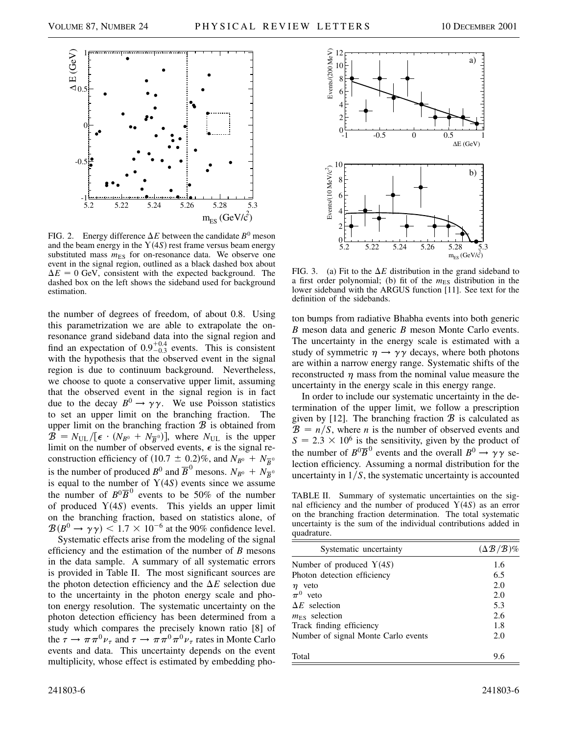

FIG. 2. Energy difference  $\Delta E$  between the candidate  $B^0$  meson and the beam energy in the  $Y(4S)$  rest frame versus beam energy substituted mass  $m_{ES}$  for on-resonance data. We observe one event in the signal region, outlined as a black dashed box about  $\Delta E = 0$  GeV, consistent with the expected background. The dashed box on the left shows the sideband used for background estimation.

the number of degrees of freedom, of about 0.8. Using this parametrization we are able to extrapolate the onresonance grand sideband data into the signal region and find an expectation of  $0.9^{+0.4}_{-0.3}$  events. This is consistent with the hypothesis that the observed event in the signal region is due to continuum background. Nevertheless, we choose to quote a conservative upper limit, assuming that the observed event in the signal region is in fact due to the decay  $B^0 \to \gamma \gamma$ . We use Poisson statistics to set an upper limit on the branching fraction. The upper limit on the branching fraction  $\mathcal B$  is obtained from  $\mathcal{B} = N_{\text{UL}}/[\epsilon \cdot (N_{B^0} + N_{\overline{B}^0})]$ , where  $N_{\text{UL}}$  is the upper limit on the number of observed events,  $\epsilon$  is the signal reconstruction efficiency of  $(10.7 \pm 0.2)\%$ , and  $N_{B^0} + N_{\overline{B}^0}$ is the number of produced  $B^0$  and  $\overline{B}^0$  mesons.  $N_{B^0} + N_{\overline{B}^0}$ is equal to the number of  $Y(4S)$  events since we assume the number of  $B^0\overline{B}^0$  events to be 50% of the number of produced  $Y(4S)$  events. This yields an upper limit on the branching fraction, based on statistics alone, of  $B(B^0 \to \gamma \gamma) < 1.7 \times 10^{-6}$  at the 90% confidence level.

Systematic effects arise from the modeling of the signal efficiency and the estimation of the number of *B* mesons in the data sample. A summary of all systematic errors is provided in Table II. The most significant sources are the photon detection efficiency and the  $\Delta E$  selection due to the uncertainty in the photon energy scale and photon energy resolution. The systematic uncertainty on the photon detection efficiency has been determined from a study which compares the precisely known ratio [8] of the  $\tau \to \pi \pi^0 \nu_{\tau}$  and  $\tau \to \pi \pi^0 \pi^0 \nu_{\tau}$  rates in Monte Carlo events and data. This uncertainty depends on the event multiplicity, whose effect is estimated by embedding pho-



FIG. 3. (a) Fit to the  $\Delta E$  distribution in the grand sideband to a first order polynomial; (b) fit of the  $m_{ES}$  distribution in the lower sideband with the ARGUS function [11]. See text for the definition of the sidebands.

ton bumps from radiative Bhabha events into both generic *B* meson data and generic *B* meson Monte Carlo events. The uncertainty in the energy scale is estimated with a study of symmetric  $\eta \rightarrow \gamma \gamma$  decays, where both photons are within a narrow energy range. Systematic shifts of the reconstructed  $\eta$  mass from the nominal value measure the uncertainty in the energy scale in this energy range.

In order to include our systematic uncertainty in the determination of the upper limit, we follow a prescription given by [12]. The branching fraction  $\mathcal B$  is calculated as  $B = n/S$ , where *n* is the number of observed events and  $S = 2.3 \times 10^6$  is the sensitivity, given by the product of the number of  $B^0\overline{B}^0$  events and the overall  $B^0 \rightarrow \gamma \gamma$  selection efficiency. Assuming a normal distribution for the uncertainty in  $1/S$ , the systematic uncertainty is accounted

TABLE II. Summary of systematic uncertainties on the signal efficiency and the number of produced  $Y(4S)$  as an error on the branching fraction determination. The total systematic uncertainty is the sum of the individual contributions added in quadrature.

| Systematic uncertainty              | $(\Delta B/B)\%$ |
|-------------------------------------|------------------|
| Number of produced $Y(4S)$          | 1.6              |
| Photon detection efficiency         | 6.5              |
| $\eta$ veto                         | 2.0              |
| $\pi^0$ veto                        | 2.0              |
| $\Delta E$ selection                | 5.3              |
| $m_{\text{ES}}$ selection           | 2.6              |
| Track finding efficiency            | 1.8              |
| Number of signal Monte Carlo events | 2.0              |
| Total                               | 9.6              |